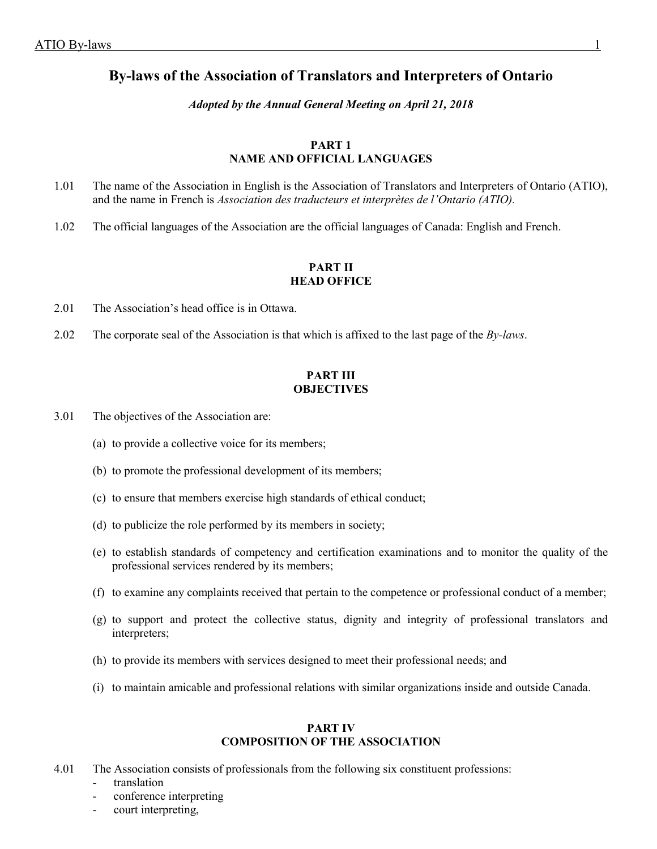# **By-laws of the Association of Translators and Interpreters of Ontario**

# *Adopted by the Annual General Meeting on April 21, 2018*

# **PART 1 NAME AND OFFICIAL LANGUAGES**

- 1.01 The name of the Association in English is the Association of Translators and Interpreters of Ontario (ATIO), and the name in French is *Association des traducteurs et interprètes de l'Ontario (ATIO).*
- 1.02 The official languages of the Association are the official languages of Canada: English and French.

# **PART II HEAD OFFICE**

- 2.01 The Association's head office is in Ottawa.
- 2.02 The corporate seal of the Association is that which is affixed to the last page of the *By-laws*.

# **PART III OBJECTIVES**

- 3.01 The objectives of the Association are:
	- (a) to provide a collective voice for its members;
	- (b) to promote the professional development of its members;
	- (c) to ensure that members exercise high standards of ethical conduct;
	- (d) to publicize the role performed by its members in society;
	- (e) to establish standards of competency and certification examinations and to monitor the quality of the professional services rendered by its members;
	- (f) to examine any complaints received that pertain to the competence or professional conduct of a member;
	- (g) to support and protect the collective status, dignity and integrity of professional translators and interpreters;
	- (h) to provide its members with services designed to meet their professional needs; and
	- (i) to maintain amicable and professional relations with similar organizations inside and outside Canada.

### **PART IV COMPOSITION OF THE ASSOCIATION**

- 4.01 The Association consists of professionals from the following six constituent professions:
	- translation
	- conference interpreting
	- court interpreting,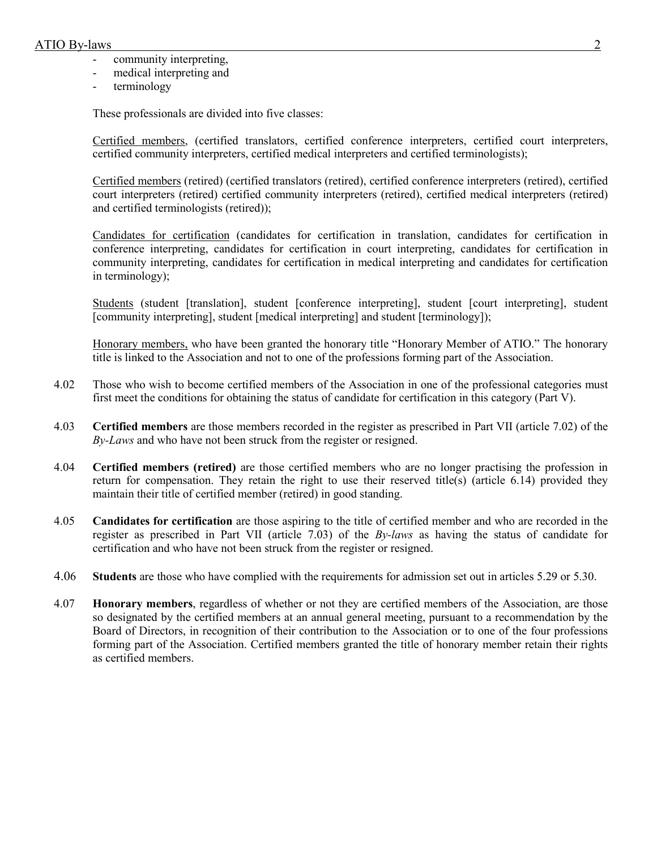- community interpreting,
- medical interpreting and
- terminology

These professionals are divided into five classes:

Certified members, (certified translators, certified conference interpreters, certified court interpreters, certified community interpreters, certified medical interpreters and certified terminologists);

Certified members (retired) (certified translators (retired), certified conference interpreters (retired), certified court interpreters (retired) certified community interpreters (retired), certified medical interpreters (retired) and certified terminologists (retired));

Candidates for certification (candidates for certification in translation, candidates for certification in conference interpreting, candidates for certification in court interpreting, candidates for certification in community interpreting, candidates for certification in medical interpreting and candidates for certification in terminology);

Students (student [translation], student [conference interpreting], student [court interpreting], student [community interpreting], student [medical interpreting] and student [terminology]);

Honorary members, who have been granted the honorary title "Honorary Member of ATIO." The honorary title is linked to the Association and not to one of the professions forming part of the Association.

- 4.02 Those who wish to become certified members of the Association in one of the professional categories must first meet the conditions for obtaining the status of candidate for certification in this category (Part V).
- 4.03 **Certified members** are those members recorded in the register as prescribed in Part VII (article 7.02) of the *By-Laws* and who have not been struck from the register or resigned.
- 4.04 **Certified members (retired)** are those certified members who are no longer practising the profession in return for compensation. They retain the right to use their reserved title(s) (article 6.14) provided they maintain their title of certified member (retired) in good standing.
- 4.05 **Candidates for certification** are those aspiring to the title of certified member and who are recorded in the register as prescribed in Part VII (article 7.03) of the *By-laws* as having the status of candidate for certification and who have not been struck from the register or resigned.
- 4.06 **Students** are those who have complied with the requirements for admission set out in articles 5.29 or 5.30.
- 4.07 **Honorary members**, regardless of whether or not they are certified members of the Association, are those so designated by the certified members at an annual general meeting, pursuant to a recommendation by the Board of Directors, in recognition of their contribution to the Association or to one of the four professions forming part of the Association. Certified members granted the title of honorary member retain their rights as certified members.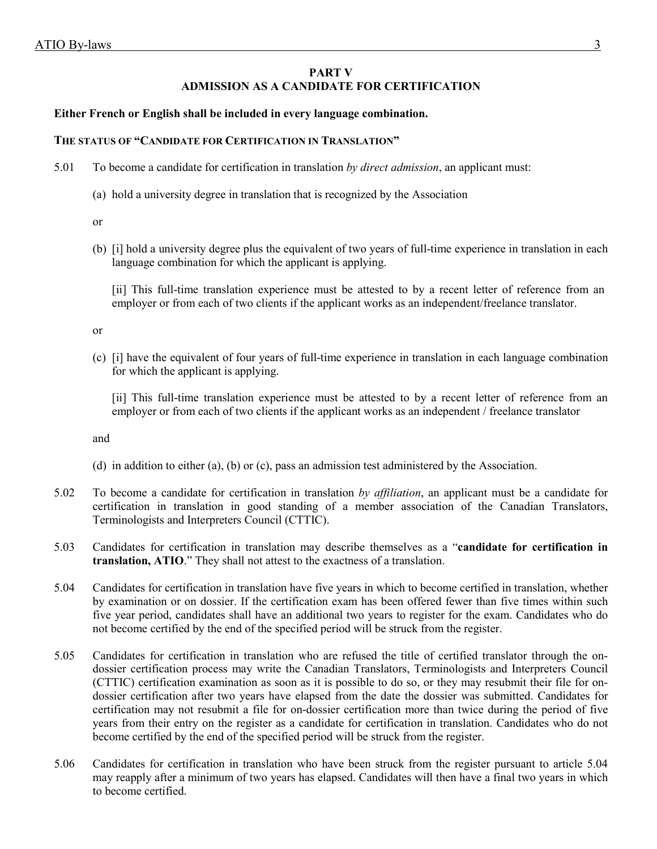# **PART V ADMISSION AS A CANDIDATE FOR CERTIFICATION**

### **Either French or English shall be included in every language combination.**

### **THE STATUS OF "CANDIDATE FOR CERTIFICATION IN TRANSLATION"**

- 5.01 To become a candidate for certification in translation *by direct admission*, an applicant must:
	- (a) hold a university degree in translation that is recognized by the Association
	- or
	- (b) [i] hold a university degree plus the equivalent of two years of full-time experience in translation in each language combination for which the applicant is applying.

[ii] This full-time translation experience must be attested to by a recent letter of reference from an employer or from each of two clients if the applicant works as an independent/freelance translator.

or

(c) [i] have the equivalent of four years of full-time experience in translation in each language combination for which the applicant is applying.

[ii] This full-time translation experience must be attested to by a recent letter of reference from an employer or from each of two clients if the applicant works as an independent / freelance translator

and

- (d) in addition to either (a), (b) or (c), pass an admission test administered by the Association.
- 5.02 To become a candidate for certification in translation *by affiliation*, an applicant must be a candidate for certification in translation in good standing of a member association of the Canadian Translators, Terminologists and Interpreters Council (CTTIC).
- 5.03 Candidates for certification in translation may describe themselves as a "**candidate for certification in translation, ATIO**." They shall not attest to the exactness of a translation.
- 5.04 Candidates for certification in translation have five years in which to become certified in translation, whether by examination or on dossier. If the certification exam has been offered fewer than five times within such five year period, candidates shall have an additional two years to register for the exam. Candidates who do not become certified by the end of the specified period will be struck from the register.
- 5.05 Candidates for certification in translation who are refused the title of certified translator through the ondossier certification process may write the Canadian Translators, Terminologists and Interpreters Council (CTTIC) certification examination as soon as it is possible to do so, or they may resubmit their file for ondossier certification after two years have elapsed from the date the dossier was submitted. Candidates for certification may not resubmit a file for on-dossier certification more than twice during the period of five years from their entry on the register as a candidate for certification in translation. Candidates who do not become certified by the end of the specified period will be struck from the register.
- 5.06 Candidates for certification in translation who have been struck from the register pursuant to article 5.04 may reapply after a minimum of two years has elapsed. Candidates will then have a final two years in which to become certified.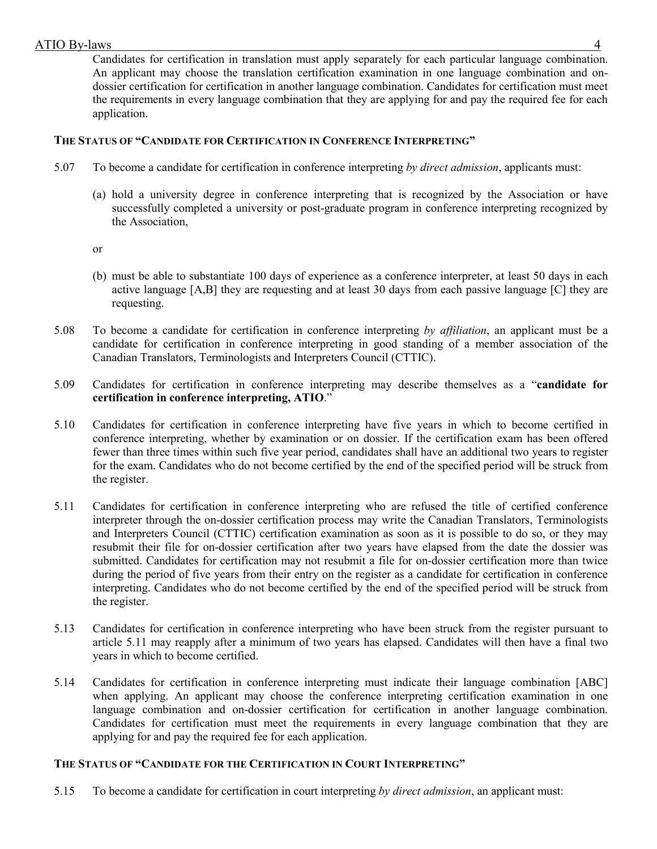Candidates for certification in translation must apply separately for each particular language combination. An applicant may choose the translation certification examination in one language combination and ondossier certification for certification in another language combination. Candidates for certification must meet the requirements in every language combination that they are applying for and pay the required fee for each application.

# **THE STATUS OF "CANDIDATE FOR CERTIFICATION IN CONFERENCE INTERPRETING"**

- 5.07 To become a candidate for certification in conference interpreting *by direct admission*, applicants must:
	- (a) hold a university degree in conference interpreting that is recognized by the Association or have successfully completed a university or post-graduate program in conference interpreting recognized by the Association,
	- or
	- (b) must be able to substantiate 100 days of experience as a conference interpreter, at least 50 days in each active language [A,B] they are requesting and at least 30 days from each passive language [C] they are requesting.
- 5.08 To become a candidate for certification in conference interpreting *by affiliation*, an applicant must be a candidate for certification in conference interpreting in good standing of a member association of the Canadian Translators, Terminologists and Interpreters Council (CTTIC).
- 5.09 Candidates for certification in conference interpreting may describe themselves as a "**candidate for certification in conference interpreting, ATIO**."
- 5.10 Candidates for certification in conference interpreting have five years in which to become certified in conference interpreting, whether by examination or on dossier. If the certification exam has been offered fewer than three times within such five year period, candidates shall have an additional two years to register for the exam. Candidates who do not become certified by the end of the specified period will be struck from the register.
- 5.11 Candidates for certification in conference interpreting who are refused the title of certified conference interpreter through the on-dossier certification process may write the Canadian Translators, Terminologists and Interpreters Council (CTTIC) certification examination as soon as it is possible to do so, or they may resubmit their file for on-dossier certification after two years have elapsed from the date the dossier was submitted. Candidates for certification may not resubmit a file for on-dossier certification more than twice during the period of five years from their entry on the register as a candidate for certification in conference interpreting. Candidates who do not become certified by the end of the specified period will be struck from the register.
- 5.13 Candidates for certification in conference interpreting who have been struck from the register pursuant to article 5.11 may reapply after a minimum of two years has elapsed. Candidates will then have a final two years in which to become certified.
- 5.14 Candidates for certification in conference interpreting must indicate their language combination [ABC] when applying. An applicant may choose the conference interpreting certification examination in one language combination and on-dossier certification for certification in another language combination. Candidates for certification must meet the requirements in every language combination that they are applying for and pay the required fee for each application.

# **THE STATUS OF "CANDIDATE FOR THE CERTIFICATION IN COURT INTERPRETING"**

5.15 To become a candidate for certification in court interpreting *by direct admission*, an applicant must: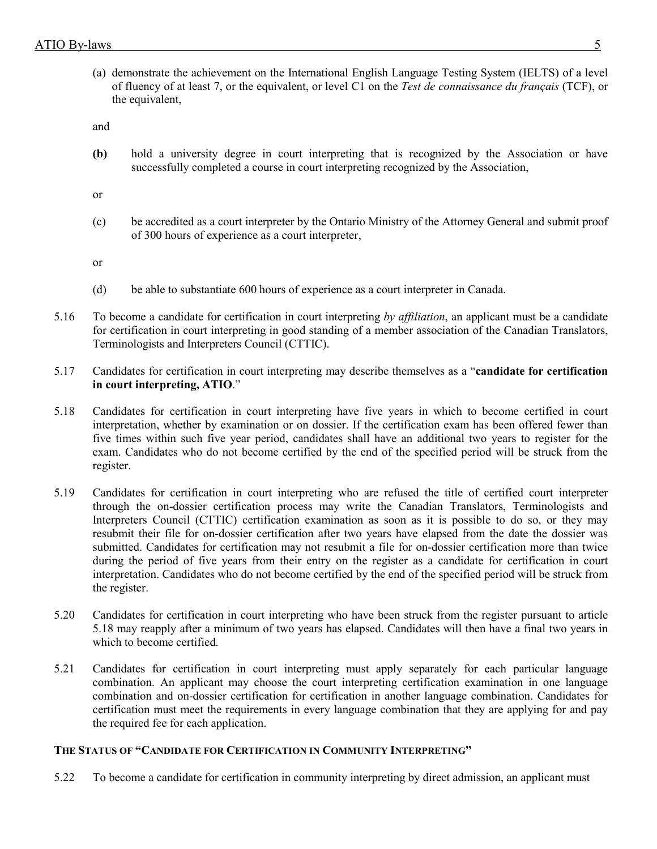(a) demonstrate the achievement on the International English Language Testing System (IELTS) of a level of fluency of at least 7, or the equivalent, or level C1 on the *Test de connaissance du français* (TCF), or the equivalent,

and

**(b)** hold a university degree in court interpreting that is recognized by the Association or have successfully completed a course in court interpreting recognized by the Association,

or

(c) be accredited as a court interpreter by the Ontario Ministry of the Attorney General and submit proof of 300 hours of experience as a court interpreter,

or

- (d) be able to substantiate 600 hours of experience as a court interpreter in Canada.
- 5.16 To become a candidate for certification in court interpreting *by affiliation*, an applicant must be a candidate for certification in court interpreting in good standing of a member association of the Canadian Translators, Terminologists and Interpreters Council (CTTIC).
- 5.17 Candidates for certification in court interpreting may describe themselves as a "**candidate for certification in court interpreting, ATIO**."
- 5.18 Candidates for certification in court interpreting have five years in which to become certified in court interpretation, whether by examination or on dossier. If the certification exam has been offered fewer than five times within such five year period, candidates shall have an additional two years to register for the exam. Candidates who do not become certified by the end of the specified period will be struck from the register.
- 5.19 Candidates for certification in court interpreting who are refused the title of certified court interpreter through the on-dossier certification process may write the Canadian Translators, Terminologists and Interpreters Council (CTTIC) certification examination as soon as it is possible to do so, or they may resubmit their file for on-dossier certification after two years have elapsed from the date the dossier was submitted. Candidates for certification may not resubmit a file for on-dossier certification more than twice during the period of five years from their entry on the register as a candidate for certification in court interpretation. Candidates who do not become certified by the end of the specified period will be struck from the register.
- 5.20 Candidates for certification in court interpreting who have been struck from the register pursuant to article 5.18 may reapply after a minimum of two years has elapsed. Candidates will then have a final two years in which to become certified.
- 5.21 Candidates for certification in court interpreting must apply separately for each particular language combination. An applicant may choose the court interpreting certification examination in one language combination and on-dossier certification for certification in another language combination. Candidates for certification must meet the requirements in every language combination that they are applying for and pay the required fee for each application.

# **THE STATUS OF "CANDIDATE FOR CERTIFICATION IN COMMUNITY INTERPRETING"**

5.22 To become a candidate for certification in community interpreting by direct admission, an applicant must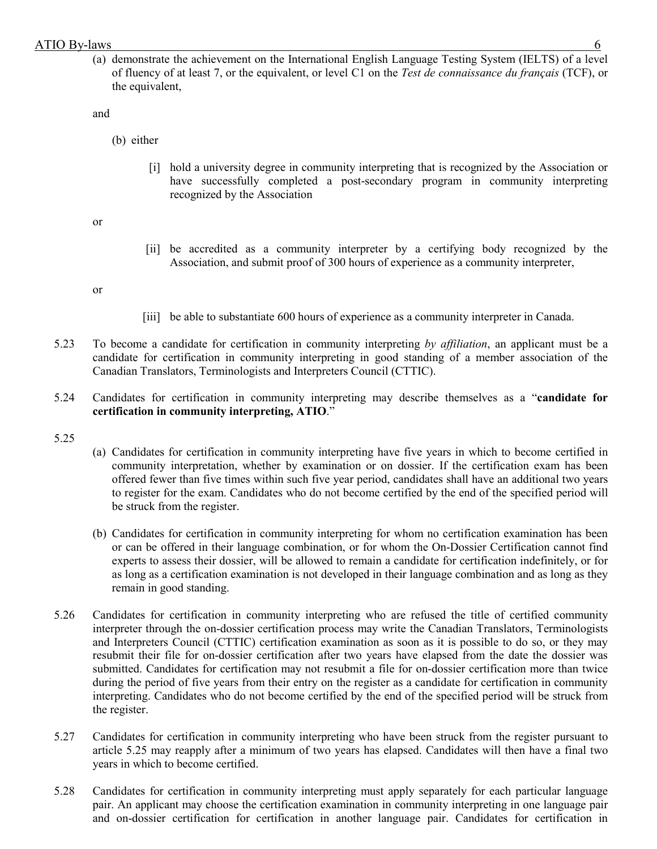(a) demonstrate the achievement on the International English Language Testing System (IELTS) of a level of fluency of at least 7, or the equivalent, or level C1 on the *Test de connaissance du français* (TCF), or the equivalent,

and

- (b) either
	- [i] hold a university degree in community interpreting that is recognized by the Association or have successfully completed a post-secondary program in community interpreting recognized by the Association

or

[ii] be accredited as a community interpreter by a certifying body recognized by the Association, and submit proof of 300 hours of experience as a community interpreter,

or

- [iii] be able to substantiate 600 hours of experience as a community interpreter in Canada.
- 5.23 To become a candidate for certification in community interpreting *by affiliation*, an applicant must be a candidate for certification in community interpreting in good standing of a member association of the Canadian Translators, Terminologists and Interpreters Council (CTTIC).
- 5.24 Candidates for certification in community interpreting may describe themselves as a "**candidate for certification in community interpreting, ATIO**."
- 5.25
- (a) Candidates for certification in community interpreting have five years in which to become certified in community interpretation, whether by examination or on dossier. If the certification exam has been offered fewer than five times within such five year period, candidates shall have an additional two years to register for the exam. Candidates who do not become certified by the end of the specified period will be struck from the register.
- (b) Candidates for certification in community interpreting for whom no certification examination has been or can be offered in their language combination, or for whom the On-Dossier Certification cannot find experts to assess their dossier, will be allowed to remain a candidate for certification indefinitely, or for as long as a certification examination is not developed in their language combination and as long as they remain in good standing.
- 5.26 Candidates for certification in community interpreting who are refused the title of certified community interpreter through the on-dossier certification process may write the Canadian Translators, Terminologists and Interpreters Council (CTTIC) certification examination as soon as it is possible to do so, or they may resubmit their file for on-dossier certification after two years have elapsed from the date the dossier was submitted. Candidates for certification may not resubmit a file for on-dossier certification more than twice during the period of five years from their entry on the register as a candidate for certification in community interpreting. Candidates who do not become certified by the end of the specified period will be struck from the register.
- 5.27 Candidates for certification in community interpreting who have been struck from the register pursuant to article 5.25 may reapply after a minimum of two years has elapsed. Candidates will then have a final two years in which to become certified.
- 5.28 Candidates for certification in community interpreting must apply separately for each particular language pair. An applicant may choose the certification examination in community interpreting in one language pair and on-dossier certification for certification in another language pair. Candidates for certification in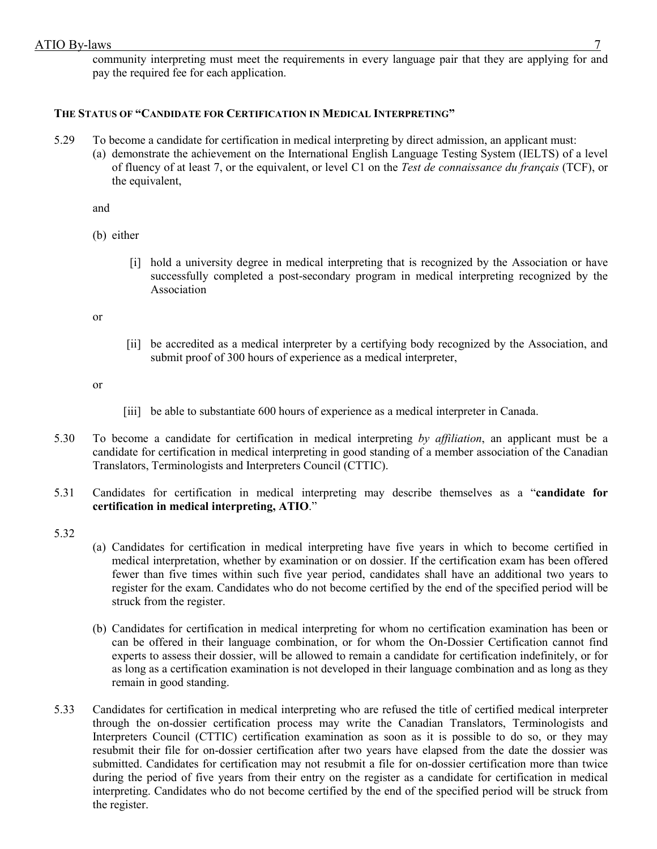community interpreting must meet the requirements in every language pair that they are applying for and pay the required fee for each application.

# **THE STATUS OF "CANDIDATE FOR CERTIFICATION IN MEDICAL INTERPRETING"**

5.29 To become a candidate for certification in medical interpreting by direct admission, an applicant must: (a) demonstrate the achievement on the International English Language Testing System (IELTS) of a level of fluency of at least 7, or the equivalent, or level C1 on the *Test de connaissance du français* (TCF), or the equivalent,

and

(b) either

[i] hold a university degree in medical interpreting that is recognized by the Association or have successfully completed a post-secondary program in medical interpreting recognized by the Association

or

[ii] be accredited as a medical interpreter by a certifying body recognized by the Association, and submit proof of 300 hours of experience as a medical interpreter,

or

- [iii] be able to substantiate 600 hours of experience as a medical interpreter in Canada.
- 5.30 To become a candidate for certification in medical interpreting *by affiliation*, an applicant must be a candidate for certification in medical interpreting in good standing of a member association of the Canadian Translators, Terminologists and Interpreters Council (CTTIC).
- 5.31 Candidates for certification in medical interpreting may describe themselves as a "**candidate for certification in medical interpreting, ATIO**."

5.32

- (a) Candidates for certification in medical interpreting have five years in which to become certified in medical interpretation, whether by examination or on dossier. If the certification exam has been offered fewer than five times within such five year period, candidates shall have an additional two years to register for the exam. Candidates who do not become certified by the end of the specified period will be struck from the register.
- (b) Candidates for certification in medical interpreting for whom no certification examination has been or can be offered in their language combination, or for whom the On-Dossier Certification cannot find experts to assess their dossier, will be allowed to remain a candidate for certification indefinitely, or for as long as a certification examination is not developed in their language combination and as long as they remain in good standing.
- 5.33 Candidates for certification in medical interpreting who are refused the title of certified medical interpreter through the on-dossier certification process may write the Canadian Translators, Terminologists and Interpreters Council (CTTIC) certification examination as soon as it is possible to do so, or they may resubmit their file for on-dossier certification after two years have elapsed from the date the dossier was submitted. Candidates for certification may not resubmit a file for on-dossier certification more than twice during the period of five years from their entry on the register as a candidate for certification in medical interpreting. Candidates who do not become certified by the end of the specified period will be struck from the register.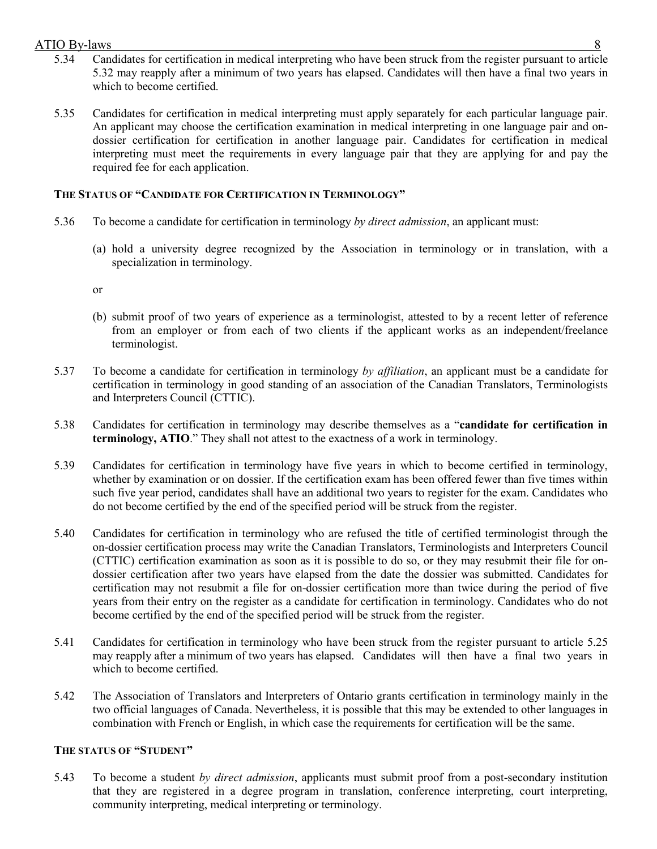- 5.34 Candidates for certification in medical interpreting who have been struck from the register pursuant to article 5.32 may reapply after a minimum of two years has elapsed. Candidates will then have a final two years in which to become certified.
- 5.35 Candidates for certification in medical interpreting must apply separately for each particular language pair. An applicant may choose the certification examination in medical interpreting in one language pair and ondossier certification for certification in another language pair. Candidates for certification in medical interpreting must meet the requirements in every language pair that they are applying for and pay the required fee for each application.

# **THE STATUS OF "CANDIDATE FOR CERTIFICATION IN TERMINOLOGY"**

- 5.36 To become a candidate for certification in terminology *by direct admission*, an applicant must:
	- (a) hold a university degree recognized by the Association in terminology or in translation, with a specialization in terminology.

or

- (b) submit proof of two years of experience as a terminologist, attested to by a recent letter of reference from an employer or from each of two clients if the applicant works as an independent/freelance terminologist.
- 5.37 To become a candidate for certification in terminology *by affiliation*, an applicant must be a candidate for certification in terminology in good standing of an association of the Canadian Translators, Terminologists and Interpreters Council (CTTIC).
- 5.38 Candidates for certification in terminology may describe themselves as a "**candidate for certification in terminology, ATIO**." They shall not attest to the exactness of a work in terminology.
- 5.39 Candidates for certification in terminology have five years in which to become certified in terminology, whether by examination or on dossier. If the certification exam has been offered fewer than five times within such five year period, candidates shall have an additional two years to register for the exam. Candidates who do not become certified by the end of the specified period will be struck from the register.
- 5.40 Candidates for certification in terminology who are refused the title of certified terminologist through the on-dossier certification process may write the Canadian Translators, Terminologists and Interpreters Council (CTTIC) certification examination as soon as it is possible to do so, or they may resubmit their file for ondossier certification after two years have elapsed from the date the dossier was submitted. Candidates for certification may not resubmit a file for on-dossier certification more than twice during the period of five years from their entry on the register as a candidate for certification in terminology. Candidates who do not become certified by the end of the specified period will be struck from the register.
- 5.41 Candidates for certification in terminology who have been struck from the register pursuant to article 5.25 may reapply after a minimum of two years has elapsed. Candidates will then have a final two years in which to become certified.
- 5.42 The Association of Translators and Interpreters of Ontario grants certification in terminology mainly in the two official languages of Canada. Nevertheless, it is possible that this may be extended to other languages in combination with French or English, in which case the requirements for certification will be the same.

# **THE STATUS OF "STUDENT"**

5.43 To become a student *by direct admission*, applicants must submit proof from a post-secondary institution that they are registered in a degree program in translation, conference interpreting, court interpreting, community interpreting, medical interpreting or terminology.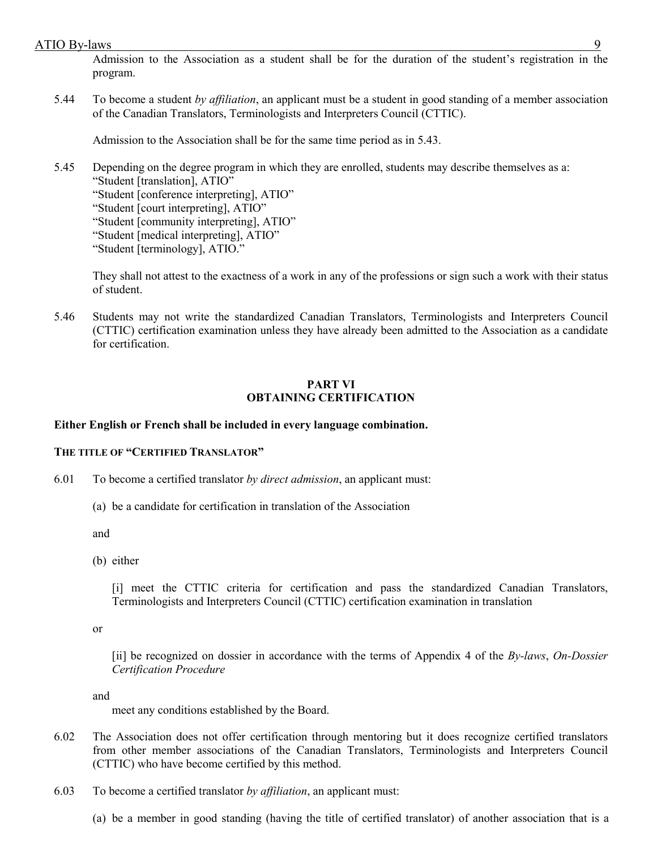Admission to the Association as a student shall be for the duration of the student's registration in the program.

5.44 To become a student *by affiliation*, an applicant must be a student in good standing of a member association of the Canadian Translators, Terminologists and Interpreters Council (CTTIC).

Admission to the Association shall be for the same time period as in 5.43.

5.45 Depending on the degree program in which they are enrolled, students may describe themselves as a: "Student [translation], ATIO"

"Student [conference interpreting], ATIO"

"Student [court interpreting], ATIO"

"Student [community interpreting], ATIO"

- "Student [medical interpreting], ATIO"
- "Student [terminology], ATIO."

They shall not attest to the exactness of a work in any of the professions or sign such a work with their status of student.

5.46 Students may not write the standardized Canadian Translators, Terminologists and Interpreters Council (CTTIC) certification examination unless they have already been admitted to the Association as a candidate for certification.

# **PART VI OBTAINING CERTIFICATION**

#### **Either English or French shall be included in every language combination.**

#### **THE TITLE OF "CERTIFIED TRANSLATOR"**

- 6.01 To become a certified translator *by direct admission*, an applicant must:
	- (a) be a candidate for certification in translation of the Association

and

(b) either

[i] meet the CTTIC criteria for certification and pass the standardized Canadian Translators, Terminologists and Interpreters Council (CTTIC) certification examination in translation

or

[ii] be recognized on dossier in accordance with the terms of Appendix 4 of the *By-laws*, *On-Dossier Certification Procedure*

and

meet any conditions established by the Board.

- 6.02 The Association does not offer certification through mentoring but it does recognize certified translators from other member associations of the Canadian Translators, Terminologists and Interpreters Council (CTTIC) who have become certified by this method.
- 6.03 To become a certified translator *by affiliation*, an applicant must:
	- (a) be a member in good standing (having the title of certified translator) of another association that is a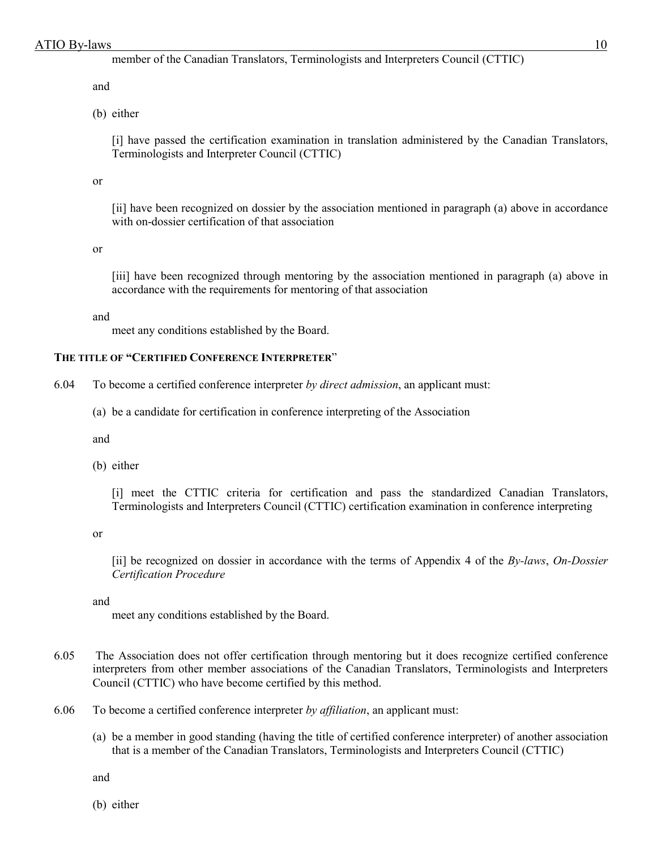member of the Canadian Translators, Terminologists and Interpreters Council (CTTIC)

and

(b) either

[i] have passed the certification examination in translation administered by the Canadian Translators, Terminologists and Interpreter Council (CTTIC)

or

[ii] have been recognized on dossier by the association mentioned in paragraph (a) above in accordance with on-dossier certification of that association

or

[iii] have been recognized through mentoring by the association mentioned in paragraph (a) above in accordance with the requirements for mentoring of that association

and

meet any conditions established by the Board.

### **THE TITLE OF "CERTIFIED CONFERENCE INTERPRETER**"

6.04 To become a certified conference interpreter *by direct admission*, an applicant must:

(a) be a candidate for certification in conference interpreting of the Association

and

(b) either

[i] meet the CTTIC criteria for certification and pass the standardized Canadian Translators, Terminologists and Interpreters Council (CTTIC) certification examination in conference interpreting

or

[ii] be recognized on dossier in accordance with the terms of Appendix 4 of the *By-laws*, *On-Dossier Certification Procedure*

and

meet any conditions established by the Board.

- 6.05 The Association does not offer certification through mentoring but it does recognize certified conference interpreters from other member associations of the Canadian Translators, Terminologists and Interpreters Council (CTTIC) who have become certified by this method.
- 6.06 To become a certified conference interpreter *by affiliation*, an applicant must:
	- (a) be a member in good standing (having the title of certified conference interpreter) of another association that is a member of the Canadian Translators, Terminologists and Interpreters Council (CTTIC)

and

(b) either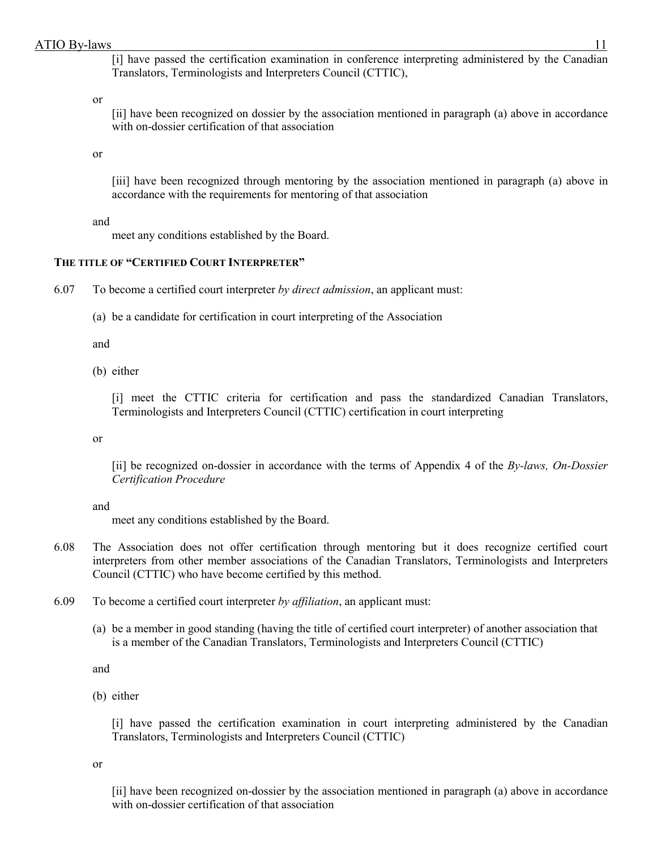[i] have passed the certification examination in conference interpreting administered by the Canadian Translators, Terminologists and Interpreters Council (CTTIC),

or

[ii] have been recognized on dossier by the association mentioned in paragraph (a) above in accordance with on-dossier certification of that association

or

[iii] have been recognized through mentoring by the association mentioned in paragraph (a) above in accordance with the requirements for mentoring of that association

and

meet any conditions established by the Board.

# **THE TITLE OF "CERTIFIED COURT INTERPRETER"**

6.07 To become a certified court interpreter *by direct admission*, an applicant must:

(a) be a candidate for certification in court interpreting of the Association

and

(b) either

[i] meet the CTTIC criteria for certification and pass the standardized Canadian Translators, Terminologists and Interpreters Council (CTTIC) certification in court interpreting

or

[ii] be recognized on-dossier in accordance with the terms of Appendix 4 of the *By-laws, On-Dossier Certification Procedure*

and

meet any conditions established by the Board.

- 6.08 The Association does not offer certification through mentoring but it does recognize certified court interpreters from other member associations of the Canadian Translators, Terminologists and Interpreters Council (CTTIC) who have become certified by this method.
- 6.09 To become a certified court interpreter *by affiliation*, an applicant must:
	- (a) be a member in good standing (having the title of certified court interpreter) of another association that is a member of the Canadian Translators, Terminologists and Interpreters Council (CTTIC)

and

(b) either

[i] have passed the certification examination in court interpreting administered by the Canadian Translators, Terminologists and Interpreters Council (CTTIC)

or

[ii] have been recognized on-dossier by the association mentioned in paragraph (a) above in accordance with on-dossier certification of that association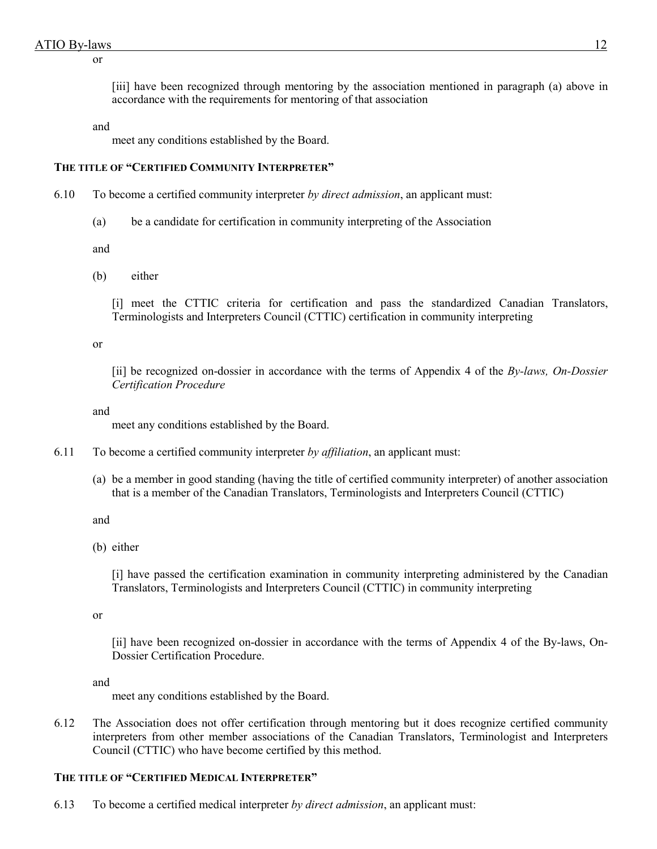or

[iii] have been recognized through mentoring by the association mentioned in paragraph (a) above in accordance with the requirements for mentoring of that association

and

meet any conditions established by the Board.

### **THE TITLE OF "CERTIFIED COMMUNITY INTERPRETER"**

- 6.10 To become a certified community interpreter *by direct admission*, an applicant must:
	- (a) be a candidate for certification in community interpreting of the Association

and

(b) either

[i] meet the CTTIC criteria for certification and pass the standardized Canadian Translators, Terminologists and Interpreters Council (CTTIC) certification in community interpreting

or

[ii] be recognized on-dossier in accordance with the terms of Appendix 4 of the *By-laws, On-Dossier Certification Procedure*

and

meet any conditions established by the Board.

- 6.11 To become a certified community interpreter *by affiliation*, an applicant must:
	- (a) be a member in good standing (having the title of certified community interpreter) of another association that is a member of the Canadian Translators, Terminologists and Interpreters Council (CTTIC)

and

(b) either

[i] have passed the certification examination in community interpreting administered by the Canadian Translators, Terminologists and Interpreters Council (CTTIC) in community interpreting

or

[ii] have been recognized on-dossier in accordance with the terms of Appendix 4 of the By-laws, On-Dossier Certification Procedure.

and

meet any conditions established by the Board.

6.12 The Association does not offer certification through mentoring but it does recognize certified community interpreters from other member associations of the Canadian Translators, Terminologist and Interpreters Council (CTTIC) who have become certified by this method.

# **THE TITLE OF "CERTIFIED MEDICAL INTERPRETER"**

6.13 To become a certified medical interpreter *by direct admission*, an applicant must: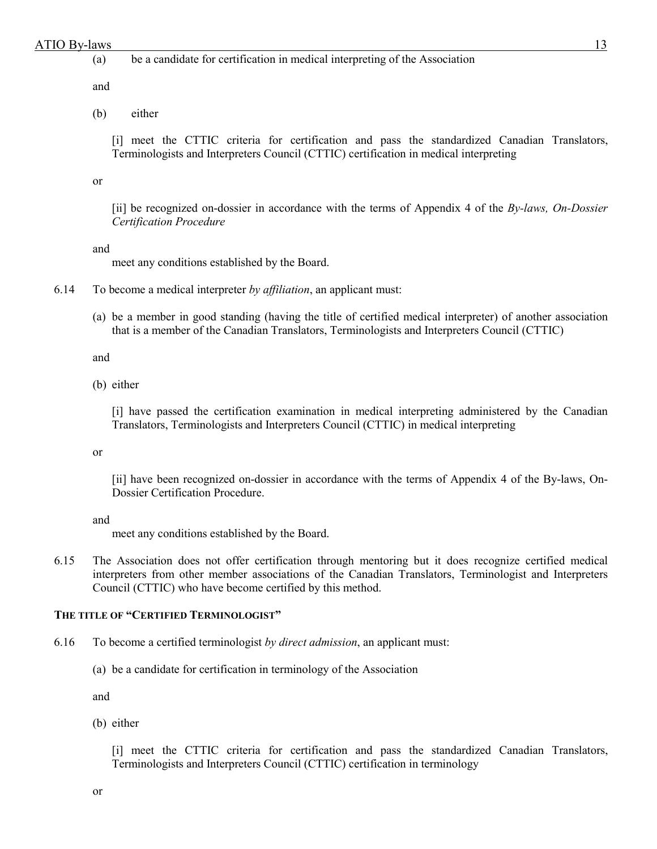### (a) be a candidate for certification in medical interpreting of the Association

and

(b) either

[i] meet the CTTIC criteria for certification and pass the standardized Canadian Translators, Terminologists and Interpreters Council (CTTIC) certification in medical interpreting

or

[ii] be recognized on-dossier in accordance with the terms of Appendix 4 of the *By-laws, On-Dossier Certification Procedure*

#### and

meet any conditions established by the Board.

- 6.14 To become a medical interpreter *by affiliation*, an applicant must:
	- (a) be a member in good standing (having the title of certified medical interpreter) of another association that is a member of the Canadian Translators, Terminologists and Interpreters Council (CTTIC)

and

(b) either

[i] have passed the certification examination in medical interpreting administered by the Canadian Translators, Terminologists and Interpreters Council (CTTIC) in medical interpreting

#### or

[ii] have been recognized on-dossier in accordance with the terms of Appendix 4 of the By-laws, On-Dossier Certification Procedure.

#### and

meet any conditions established by the Board.

6.15 The Association does not offer certification through mentoring but it does recognize certified medical interpreters from other member associations of the Canadian Translators, Terminologist and Interpreters Council (CTTIC) who have become certified by this method.

# **THE TITLE OF "CERTIFIED TERMINOLOGIST"**

- 6.16 To become a certified terminologist *by direct admission*, an applicant must:
	- (a) be a candidate for certification in terminology of the Association

and

(b) either

[i] meet the CTTIC criteria for certification and pass the standardized Canadian Translators, Terminologists and Interpreters Council (CTTIC) certification in terminology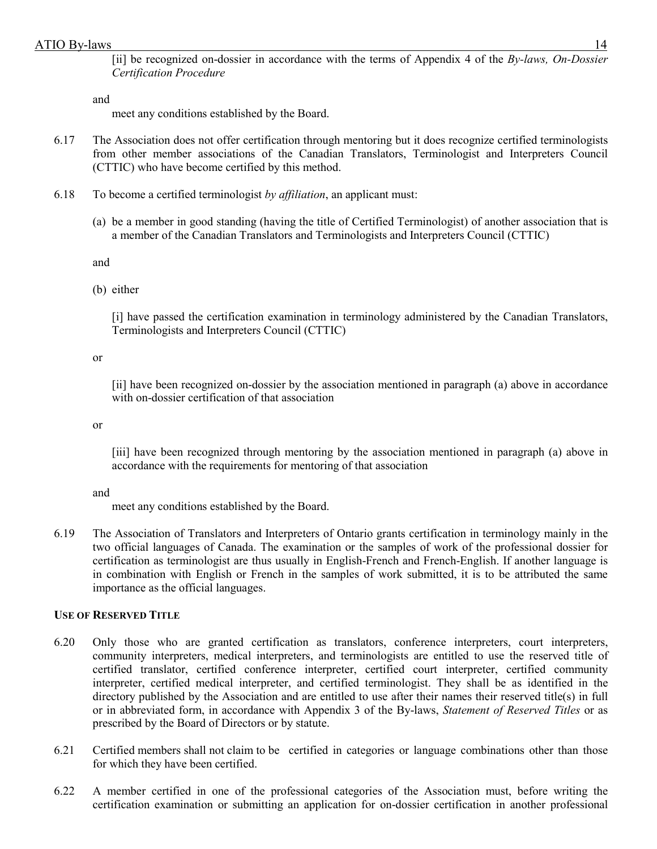[ii] be recognized on-dossier in accordance with the terms of Appendix 4 of the *By-laws, On-Dossier Certification Procedure*

and

meet any conditions established by the Board.

- 6.17 The Association does not offer certification through mentoring but it does recognize certified terminologists from other member associations of the Canadian Translators, Terminologist and Interpreters Council (CTTIC) who have become certified by this method.
- 6.18 To become a certified terminologist *by affiliation*, an applicant must:
	- (a) be a member in good standing (having the title of Certified Terminologist) of another association that is a member of the Canadian Translators and Terminologists and Interpreters Council (CTTIC)

and

(b) either

[i] have passed the certification examination in terminology administered by the Canadian Translators, Terminologists and Interpreters Council (CTTIC)

or

[ii] have been recognized on-dossier by the association mentioned in paragraph (a) above in accordance with on-dossier certification of that association

or

[iii] have been recognized through mentoring by the association mentioned in paragraph (a) above in accordance with the requirements for mentoring of that association

and

meet any conditions established by the Board.

6.19 The Association of Translators and Interpreters of Ontario grants certification in terminology mainly in the two official languages of Canada. The examination or the samples of work of the professional dossier for certification as terminologist are thus usually in English-French and French-English. If another language is in combination with English or French in the samples of work submitted, it is to be attributed the same importance as the official languages.

# **USE OF RESERVED TITLE**

- 6.20 Only those who are granted certification as translators, conference interpreters, court interpreters, community interpreters, medical interpreters, and terminologists are entitled to use the reserved title of certified translator, certified conference interpreter, certified court interpreter, certified community interpreter, certified medical interpreter, and certified terminologist. They shall be as identified in the directory published by the Association and are entitled to use after their names their reserved title(s) in full or in abbreviated form, in accordance with Appendix 3 of the By-laws, *Statement of Reserved Titles* or as prescribed by the Board of Directors or by statute.
- 6.21 Certified members shall not claim to be certified in categories or language combinations other than those for which they have been certified.
- 6.22 A member certified in one of the professional categories of the Association must, before writing the certification examination or submitting an application for on-dossier certification in another professional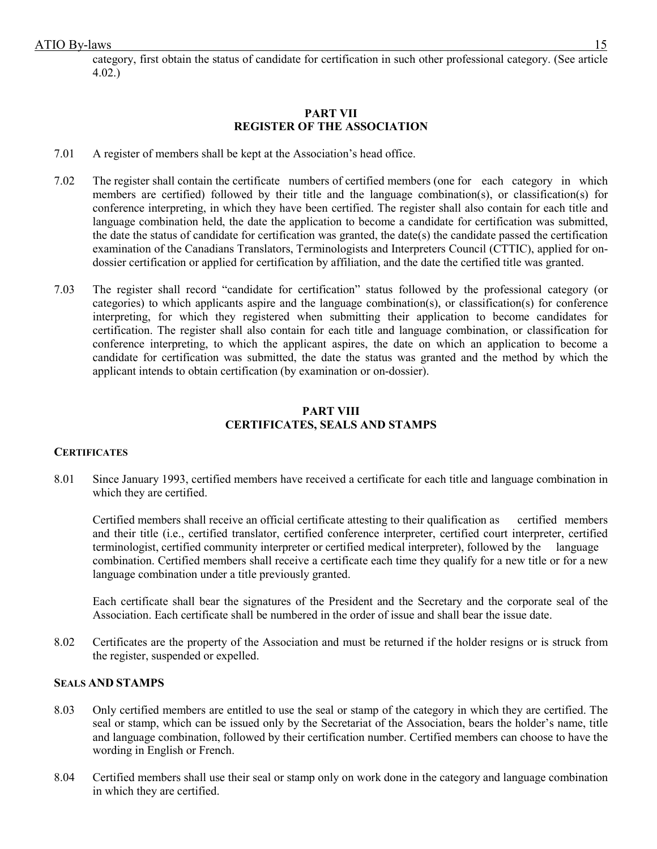category, first obtain the status of candidate for certification in such other professional category. (See article 4.02.)

### **PART VII REGISTER OF THE ASSOCIATION**

- 7.01 A register of members shall be kept at the Association's head office.
- 7.02 The register shall contain the certificate numbers of certified members (one for each category in which members are certified) followed by their title and the language combination(s), or classification(s) for conference interpreting, in which they have been certified. The register shall also contain for each title and language combination held, the date the application to become a candidate for certification was submitted, the date the status of candidate for certification was granted, the date(s) the candidate passed the certification examination of the Canadians Translators, Terminologists and Interpreters Council (CTTIC), applied for ondossier certification or applied for certification by affiliation, and the date the certified title was granted.
- 7.03 The register shall record "candidate for certification" status followed by the professional category (or categories) to which applicants aspire and the language combination(s), or classification(s) for conference interpreting, for which they registered when submitting their application to become candidates for certification. The register shall also contain for each title and language combination, or classification for conference interpreting, to which the applicant aspires, the date on which an application to become a candidate for certification was submitted, the date the status was granted and the method by which the applicant intends to obtain certification (by examination or on-dossier).

#### **PART VIII CERTIFICATES, SEALS AND STAMPS**

#### **CERTIFICATES**

8.01 Since January 1993, certified members have received a certificate for each title and language combination in which they are certified.

Certified members shall receive an official certificate attesting to their qualification as certified members and their title (i.e., certified translator, certified conference interpreter, certified court interpreter, certified terminologist, certified community interpreter or certified medical interpreter), followed by the language combination. Certified members shall receive a certificate each time they qualify for a new title or for a new language combination under a title previously granted.

Each certificate shall bear the signatures of the President and the Secretary and the corporate seal of the Association. Each certificate shall be numbered in the order of issue and shall bear the issue date.

8.02 Certificates are the property of the Association and must be returned if the holder resigns or is struck from the register, suspended or expelled.

#### **SEALS AND STAMPS**

- 8.03 Only certified members are entitled to use the seal or stamp of the category in which they are certified. The seal or stamp, which can be issued only by the Secretariat of the Association, bears the holder's name, title and language combination, followed by their certification number. Certified members can choose to have the wording in English or French.
- 8.04 Certified members shall use their seal or stamp only on work done in the category and language combination in which they are certified.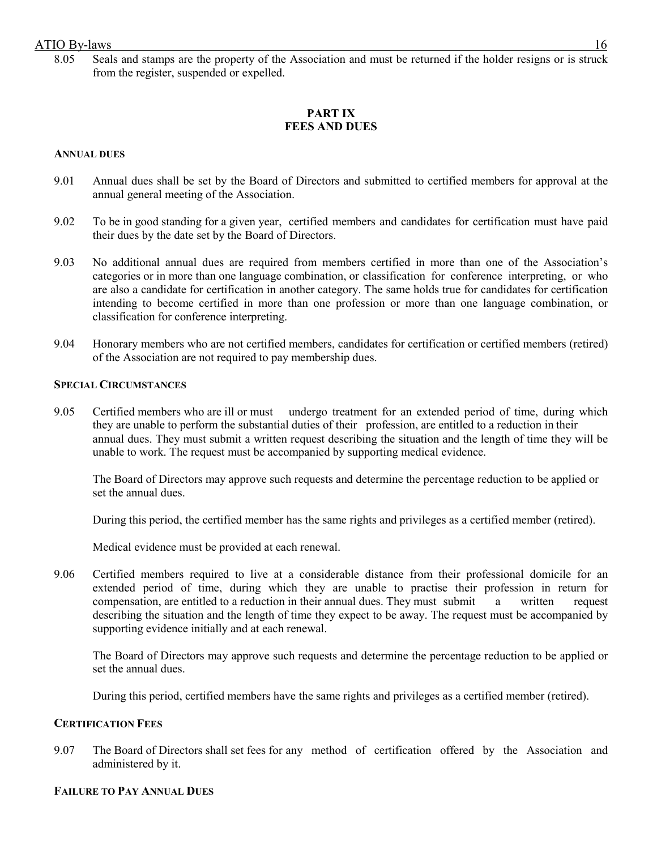8.05 Seals and stamps are the property of the Association and must be returned if the holder resigns or is struck from the register, suspended or expelled.

# **PART IX FEES AND DUES**

### **ANNUAL DUES**

- 9.01 Annual dues shall be set by the Board of Directors and submitted to certified members for approval at the annual general meeting of the Association.
- 9.02 To be in good standing for a given year, certified members and candidates for certification must have paid their dues by the date set by the Board of Directors.
- 9.03 No additional annual dues are required from members certified in more than one of the Association's categories or in more than one language combination, or classification for conference interpreting, or who are also a candidate for certification in another category. The same holds true for candidates for certification intending to become certified in more than one profession or more than one language combination, or classification for conference interpreting.
- 9.04 Honorary members who are not certified members, candidates for certification or certified members (retired) of the Association are not required to pay membership dues.

#### **SPECIAL CIRCUMSTANCES**

9.05 Certified members who are ill or must undergo treatment for an extended period of time, during which they are unable to perform the substantial duties of their profession, are entitled to a reduction in their annual dues. They must submit a written request describing the situation and the length of time they will be unable to work. The request must be accompanied by supporting medical evidence.

The Board of Directors may approve such requests and determine the percentage reduction to be applied or set the annual dues.

During this period, the certified member has the same rights and privileges as a certified member (retired).

Medical evidence must be provided at each renewal.

9.06 Certified members required to live at a considerable distance from their professional domicile for an extended period of time, during which they are unable to practise their profession in return for compensation, are entitled to a reduction in their annual dues. They must submit a written request describing the situation and the length of time they expect to be away. The request must be accompanied by supporting evidence initially and at each renewal.

The Board of Directors may approve such requests and determine the percentage reduction to be applied or set the annual dues.

During this period, certified members have the same rights and privileges as a certified member (retired).

#### **CERTIFICATION FEES**

9.07 The Board of Directors shall set fees for any method of certification offered by the Association and administered by it.

#### **FAILURE TO PAY ANNUAL DUES**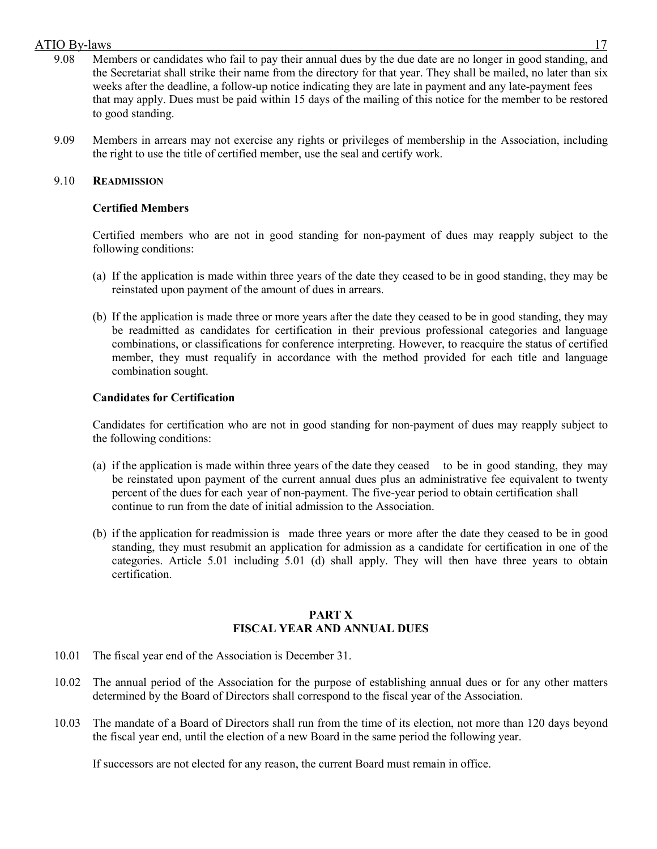- 9.08 Members or candidates who fail to pay their annual dues by the due date are no longer in good standing, and the Secretariat shall strike their name from the directory for that year. They shall be mailed, no later than six weeks after the deadline, a follow-up notice indicating they are late in payment and any late-payment fees that may apply. Dues must be paid within 15 days of the mailing of this notice for the member to be restored to good standing.
- 9.09 Members in arrears may not exercise any rights or privileges of membership in the Association, including the right to use the title of certified member, use the seal and certify work.

### 9.10 **READMISSION**

### **Certified Members**

Certified members who are not in good standing for non-payment of dues may reapply subject to the following conditions:

- (a) If the application is made within three years of the date they ceased to be in good standing, they may be reinstated upon payment of the amount of dues in arrears.
- (b) If the application is made three or more years after the date they ceased to be in good standing, they may be readmitted as candidates for certification in their previous professional categories and language combinations, or classifications for conference interpreting. However, to reacquire the status of certified member, they must requalify in accordance with the method provided for each title and language combination sought.

# **Candidates for Certification**

Candidates for certification who are not in good standing for non-payment of dues may reapply subject to the following conditions:

- (a) if the application is made within three years of the date they ceased to be in good standing, they may be reinstated upon payment of the current annual dues plus an administrative fee equivalent to twenty percent of the dues for each year of non-payment. The five-year period to obtain certification shall continue to run from the date of initial admission to the Association.
- (b) if the application for readmission is made three years or more after the date they ceased to be in good standing, they must resubmit an application for admission as a candidate for certification in one of the categories. Article 5.01 including 5.01 (d) shall apply. They will then have three years to obtain certification.

### **PART X FISCAL YEAR AND ANNUAL DUES**

- 10.01 The fiscal year end of the Association is December 31.
- 10.02 The annual period of the Association for the purpose of establishing annual dues or for any other matters determined by the Board of Directors shall correspond to the fiscal year of the Association.
- 10.03 The mandate of a Board of Directors shall run from the time of its election, not more than 120 days beyond the fiscal year end, until the election of a new Board in the same period the following year.

If successors are not elected for any reason, the current Board must remain in office.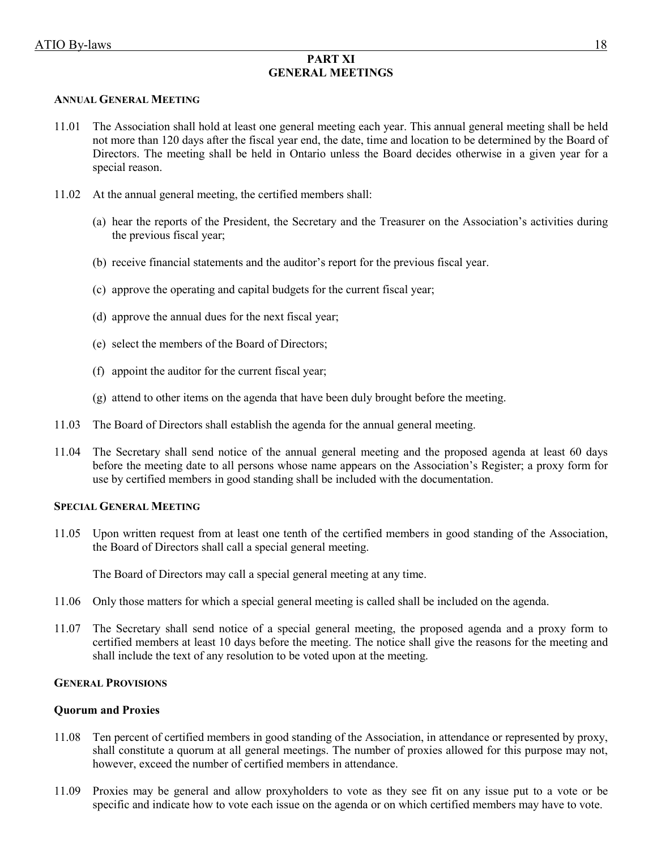# **PART XI GENERAL MEETINGS**

#### **ANNUAL GENERAL MEETING**

- 11.01 The Association shall hold at least one general meeting each year. This annual general meeting shall be held not more than 120 days after the fiscal year end, the date, time and location to be determined by the Board of Directors. The meeting shall be held in Ontario unless the Board decides otherwise in a given year for a special reason.
- 11.02 At the annual general meeting, the certified members shall:
	- (a) hear the reports of the President, the Secretary and the Treasurer on the Association's activities during the previous fiscal year;
	- (b) receive financial statements and the auditor's report for the previous fiscal year.
	- (c) approve the operating and capital budgets for the current fiscal year;
	- (d) approve the annual dues for the next fiscal year;
	- (e) select the members of the Board of Directors;
	- (f) appoint the auditor for the current fiscal year;
	- (g) attend to other items on the agenda that have been duly brought before the meeting.
- 11.03 The Board of Directors shall establish the agenda for the annual general meeting.
- 11.04 The Secretary shall send notice of the annual general meeting and the proposed agenda at least 60 days before the meeting date to all persons whose name appears on the Association's Register; a proxy form for use by certified members in good standing shall be included with the documentation.

### **SPECIAL GENERAL MEETING**

11.05 Upon written request from at least one tenth of the certified members in good standing of the Association, the Board of Directors shall call a special general meeting.

The Board of Directors may call a special general meeting at any time.

- 11.06 Only those matters for which a special general meeting is called shall be included on the agenda.
- 11.07 The Secretary shall send notice of a special general meeting, the proposed agenda and a proxy form to certified members at least 10 days before the meeting. The notice shall give the reasons for the meeting and shall include the text of any resolution to be voted upon at the meeting.

#### **GENERAL PROVISIONS**

#### **Quorum and Proxies**

- 11.08 Ten percent of certified members in good standing of the Association, in attendance or represented by proxy, shall constitute a quorum at all general meetings. The number of proxies allowed for this purpose may not, however, exceed the number of certified members in attendance.
- 11.09 Proxies may be general and allow proxyholders to vote as they see fit on any issue put to a vote or be specific and indicate how to vote each issue on the agenda or on which certified members may have to vote.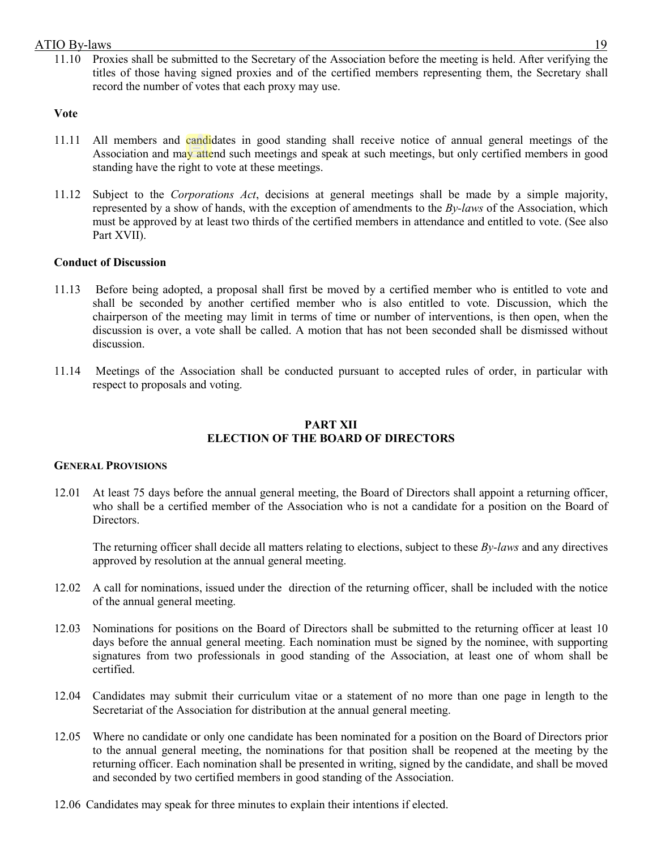11.10 Proxies shall be submitted to the Secretary of the Association before the meeting is held. After verifying the titles of those having signed proxies and of the certified members representing them, the Secretary shall record the number of votes that each proxy may use.

# **Vote**

- 11.11 All members and candidates in good standing shall receive notice of annual general meetings of the Association and may attend such meetings and speak at such meetings, but only certified members in good standing have the right to vote at these meetings.
- 11.12 Subject to the *Corporations Act*, decisions at general meetings shall be made by a simple majority, represented by a show of hands, with the exception of amendments to the *By-laws* of the Association, which must be approved by at least two thirds of the certified members in attendance and entitled to vote. (See also Part XVII).

# **Conduct of Discussion**

- 11.13 Before being adopted, a proposal shall first be moved by a certified member who is entitled to vote and shall be seconded by another certified member who is also entitled to vote. Discussion, which the chairperson of the meeting may limit in terms of time or number of interventions, is then open, when the discussion is over, a vote shall be called. A motion that has not been seconded shall be dismissed without discussion.
- 11.14 Meetings of the Association shall be conducted pursuant to accepted rules of order, in particular with respect to proposals and voting.

# **PART XII ELECTION OF THE BOARD OF DIRECTORS**

# **GENERAL PROVISIONS**

12.01 At least 75 days before the annual general meeting, the Board of Directors shall appoint a returning officer, who shall be a certified member of the Association who is not a candidate for a position on the Board of Directors.

The returning officer shall decide all matters relating to elections, subject to these *By-laws* and any directives approved by resolution at the annual general meeting.

- 12.02 A call for nominations, issued under the direction of the returning officer, shall be included with the notice of the annual general meeting.
- 12.03 Nominations for positions on the Board of Directors shall be submitted to the returning officer at least 10 days before the annual general meeting. Each nomination must be signed by the nominee, with supporting signatures from two professionals in good standing of the Association, at least one of whom shall be certified.
- 12.04 Candidates may submit their curriculum vitae or a statement of no more than one page in length to the Secretariat of the Association for distribution at the annual general meeting.
- 12.05 Where no candidate or only one candidate has been nominated for a position on the Board of Directors prior to the annual general meeting, the nominations for that position shall be reopened at the meeting by the returning officer. Each nomination shall be presented in writing, signed by the candidate, and shall be moved and seconded by two certified members in good standing of the Association.
- 12.06 Candidates may speak for three minutes to explain their intentions if elected.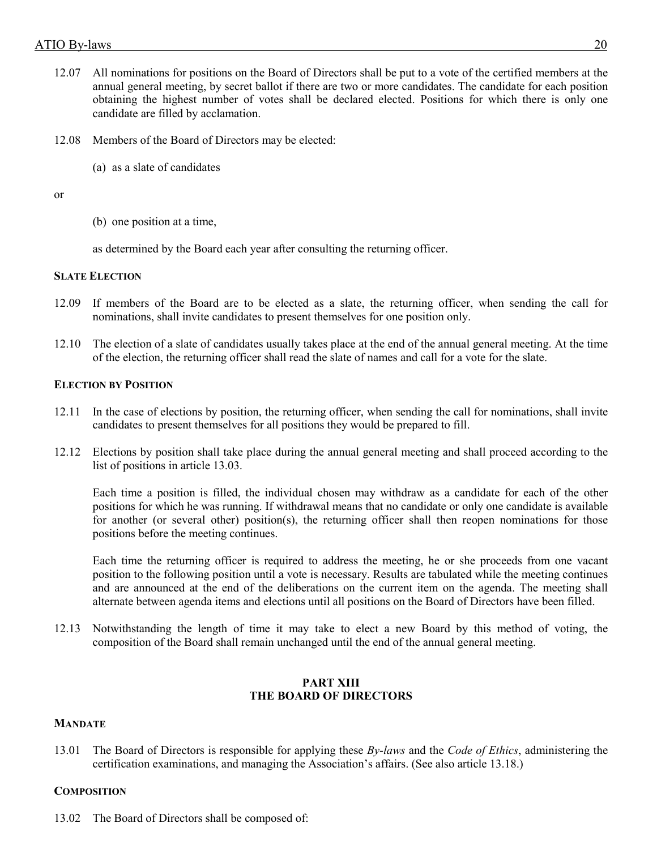- 12.07 All nominations for positions on the Board of Directors shall be put to a vote of the certified members at the annual general meeting, by secret ballot if there are two or more candidates. The candidate for each position obtaining the highest number of votes shall be declared elected. Positions for which there is only one candidate are filled by acclamation.
- 12.08 Members of the Board of Directors may be elected:
	- (a) as a slate of candidates

or

(b) one position at a time,

as determined by the Board each year after consulting the returning officer.

# **SLATE ELECTION**

- 12.09 If members of the Board are to be elected as a slate, the returning officer, when sending the call for nominations, shall invite candidates to present themselves for one position only.
- 12.10 The election of a slate of candidates usually takes place at the end of the annual general meeting. At the time of the election, the returning officer shall read the slate of names and call for a vote for the slate.

# **ELECTION BY POSITION**

- 12.11 In the case of elections by position, the returning officer, when sending the call for nominations, shall invite candidates to present themselves for all positions they would be prepared to fill.
- 12.12 Elections by position shall take place during the annual general meeting and shall proceed according to the list of positions in article 13.03.

Each time a position is filled, the individual chosen may withdraw as a candidate for each of the other positions for which he was running. If withdrawal means that no candidate or only one candidate is available for another (or several other) position(s), the returning officer shall then reopen nominations for those positions before the meeting continues.

Each time the returning officer is required to address the meeting, he or she proceeds from one vacant position to the following position until a vote is necessary. Results are tabulated while the meeting continues and are announced at the end of the deliberations on the current item on the agenda. The meeting shall alternate between agenda items and elections until all positions on the Board of Directors have been filled.

12.13 Notwithstanding the length of time it may take to elect a new Board by this method of voting, the composition of the Board shall remain unchanged until the end of the annual general meeting.

# **PART XIII THE BOARD OF DIRECTORS**

# **MANDATE**

13.01 The Board of Directors is responsible for applying these *By-laws* and the *Code of Ethics*, administering the certification examinations, and managing the Association's affairs. (See also article 13.18.)

# **COMPOSITION**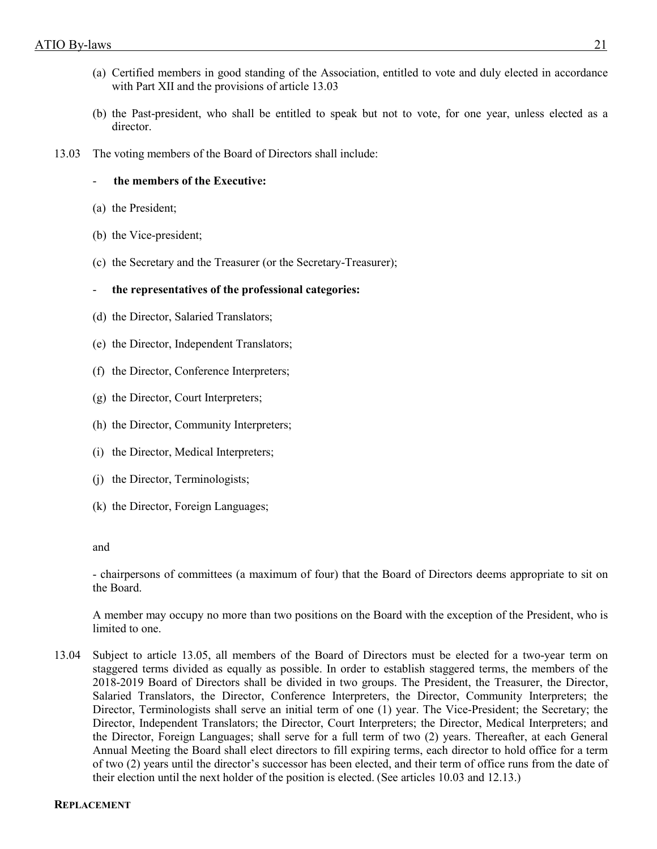- (a) Certified members in good standing of the Association, entitled to vote and duly elected in accordance with Part XII and the provisions of article 13.03
- (b) the Past-president, who shall be entitled to speak but not to vote, for one year, unless elected as a director.
- 13.03 The voting members of the Board of Directors shall include:
	- **the members of the Executive:**
	- (a) the President;
	- (b) the Vice-president;
	- (c) the Secretary and the Treasurer (or the Secretary-Treasurer);
	- **the representatives of the professional categories:**
	- (d) the Director, Salaried Translators;
	- (e) the Director, Independent Translators;
	- (f) the Director, Conference Interpreters;
	- (g) the Director, Court Interpreters;
	- (h) the Director, Community Interpreters;
	- (i) the Director, Medical Interpreters;
	- (j) the Director, Terminologists;
	- (k) the Director, Foreign Languages;

#### and

- chairpersons of committees (a maximum of four) that the Board of Directors deems appropriate to sit on the Board.

A member may occupy no more than two positions on the Board with the exception of the President, who is limited to one.

13.04 Subject to article 13.05, all members of the Board of Directors must be elected for a two-year term on staggered terms divided as equally as possible. In order to establish staggered terms, the members of the 2018-2019 Board of Directors shall be divided in two groups. The President, the Treasurer, the Director, Salaried Translators, the Director, Conference Interpreters, the Director, Community Interpreters; the Director, Terminologists shall serve an initial term of one (1) year. The Vice-President; the Secretary; the Director, Independent Translators; the Director, Court Interpreters; the Director, Medical Interpreters; and the Director, Foreign Languages; shall serve for a full term of two (2) years. Thereafter, at each General Annual Meeting the Board shall elect directors to fill expiring terms, each director to hold office for a term of two (2) years until the director's successor has been elected, and their term of office runs from the date of their election until the next holder of the position is elected. (See articles 10.03 and 12.13.)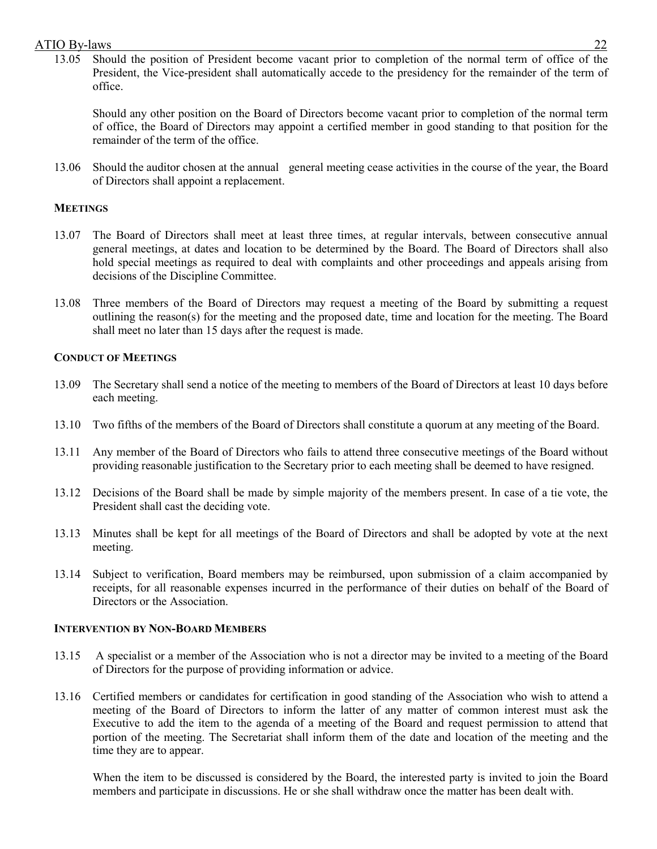13.05 Should the position of President become vacant prior to completion of the normal term of office of the President, the Vice-president shall automatically accede to the presidency for the remainder of the term of office.

Should any other position on the Board of Directors become vacant prior to completion of the normal term of office, the Board of Directors may appoint a certified member in good standing to that position for the remainder of the term of the office.

13.06 Should the auditor chosen at the annual general meeting cease activities in the course of the year, the Board of Directors shall appoint a replacement.

### **MEETINGS**

- 13.07 The Board of Directors shall meet at least three times, at regular intervals, between consecutive annual general meetings, at dates and location to be determined by the Board. The Board of Directors shall also hold special meetings as required to deal with complaints and other proceedings and appeals arising from decisions of the Discipline Committee.
- 13.08 Three members of the Board of Directors may request a meeting of the Board by submitting a request outlining the reason(s) for the meeting and the proposed date, time and location for the meeting. The Board shall meet no later than 15 days after the request is made.

# **CONDUCT OF MEETINGS**

- 13.09 The Secretary shall send a notice of the meeting to members of the Board of Directors at least 10 days before each meeting.
- 13.10 Two fifths of the members of the Board of Directors shall constitute a quorum at any meeting of the Board.
- 13.11 Any member of the Board of Directors who fails to attend three consecutive meetings of the Board without providing reasonable justification to the Secretary prior to each meeting shall be deemed to have resigned.
- 13.12 Decisions of the Board shall be made by simple majority of the members present. In case of a tie vote, the President shall cast the deciding vote.
- 13.13 Minutes shall be kept for all meetings of the Board of Directors and shall be adopted by vote at the next meeting.
- 13.14 Subject to verification, Board members may be reimbursed, upon submission of a claim accompanied by receipts, for all reasonable expenses incurred in the performance of their duties on behalf of the Board of Directors or the Association.

#### **INTERVENTION BY NON-BOARD MEMBERS**

- 13.15 A specialist or a member of the Association who is not a director may be invited to a meeting of the Board of Directors for the purpose of providing information or advice.
- 13.16 Certified members or candidates for certification in good standing of the Association who wish to attend a meeting of the Board of Directors to inform the latter of any matter of common interest must ask the Executive to add the item to the agenda of a meeting of the Board and request permission to attend that portion of the meeting. The Secretariat shall inform them of the date and location of the meeting and the time they are to appear.

When the item to be discussed is considered by the Board, the interested party is invited to join the Board members and participate in discussions. He or she shall withdraw once the matter has been dealt with.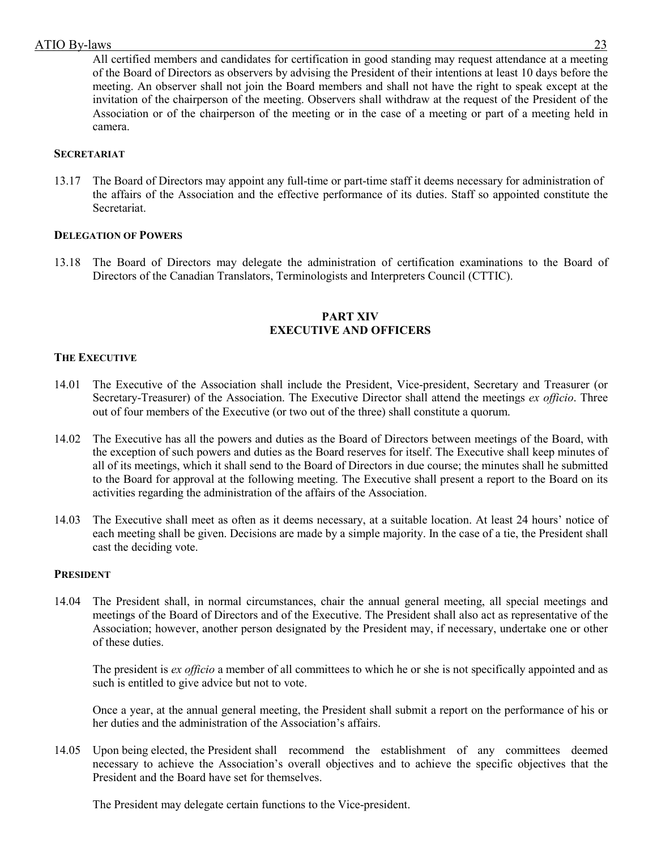All certified members and candidates for certification in good standing may request attendance at a meeting of the Board of Directors as observers by advising the President of their intentions at least 10 days before the meeting. An observer shall not join the Board members and shall not have the right to speak except at the invitation of the chairperson of the meeting. Observers shall withdraw at the request of the President of the Association or of the chairperson of the meeting or in the case of a meeting or part of a meeting held in camera.

# **SECRETARIAT**

13.17 The Board of Directors may appoint any full-time or part-time staff it deems necessary for administration of the affairs of the Association and the effective performance of its duties. Staff so appointed constitute the Secretariat.

# **DELEGATION OF POWERS**

13.18 The Board of Directors may delegate the administration of certification examinations to the Board of Directors of the Canadian Translators, Terminologists and Interpreters Council (CTTIC).

# **PART XIV EXECUTIVE AND OFFICERS**

# **THE EXECUTIVE**

- 14.01 The Executive of the Association shall include the President, Vice-president, Secretary and Treasurer (or Secretary-Treasurer) of the Association. The Executive Director shall attend the meetings *ex officio*. Three out of four members of the Executive (or two out of the three) shall constitute a quorum.
- 14.02 The Executive has all the powers and duties as the Board of Directors between meetings of the Board, with the exception of such powers and duties as the Board reserves for itself. The Executive shall keep minutes of all of its meetings, which it shall send to the Board of Directors in due course; the minutes shall he submitted to the Board for approval at the following meeting. The Executive shall present a report to the Board on its activities regarding the administration of the affairs of the Association.
- 14.03 The Executive shall meet as often as it deems necessary, at a suitable location. At least 24 hours' notice of each meeting shall be given. Decisions are made by a simple majority. In the case of a tie, the President shall cast the deciding vote.

# **PRESIDENT**

14.04 The President shall, in normal circumstances, chair the annual general meeting, all special meetings and meetings of the Board of Directors and of the Executive. The President shall also act as representative of the Association; however, another person designated by the President may, if necessary, undertake one or other of these duties.

The president is *ex officio* a member of all committees to which he or she is not specifically appointed and as such is entitled to give advice but not to vote.

Once a year, at the annual general meeting, the President shall submit a report on the performance of his or her duties and the administration of the Association's affairs.

14.05 Upon being elected, the President shall recommend the establishment of any committees deemed necessary to achieve the Association's overall objectives and to achieve the specific objectives that the President and the Board have set for themselves.

The President may delegate certain functions to the Vice-president.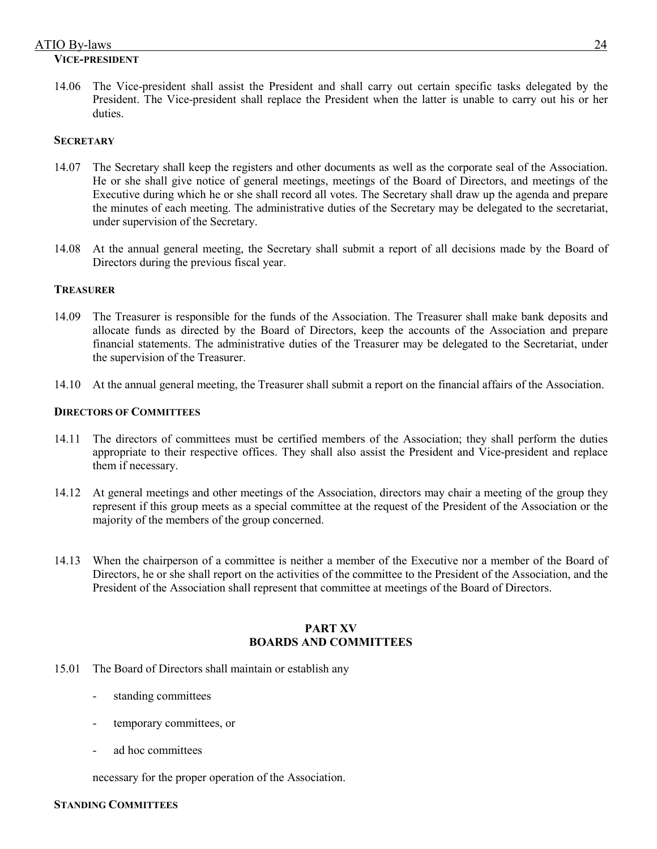### ATIO By-laws 24 **VICE-PRESIDENT**

14.06 The Vice-president shall assist the President and shall carry out certain specific tasks delegated by the President. The Vice-president shall replace the President when the latter is unable to carry out his or her duties.

### **SECRETARY**

- 14.07 The Secretary shall keep the registers and other documents as well as the corporate seal of the Association. He or she shall give notice of general meetings, meetings of the Board of Directors, and meetings of the Executive during which he or she shall record all votes. The Secretary shall draw up the agenda and prepare the minutes of each meeting. The administrative duties of the Secretary may be delegated to the secretariat, under supervision of the Secretary.
- 14.08 At the annual general meeting, the Secretary shall submit a report of all decisions made by the Board of Directors during the previous fiscal year.

### **TREASURER**

- 14.09 The Treasurer is responsible for the funds of the Association. The Treasurer shall make bank deposits and allocate funds as directed by the Board of Directors, keep the accounts of the Association and prepare financial statements. The administrative duties of the Treasurer may be delegated to the Secretariat, under the supervision of the Treasurer.
- 14.10 At the annual general meeting, the Treasurer shall submit a report on the financial affairs of the Association.

# **DIRECTORS OF COMMITTEES**

- 14.11 The directors of committees must be certified members of the Association; they shall perform the duties appropriate to their respective offices. They shall also assist the President and Vice-president and replace them if necessary.
- 14.12 At general meetings and other meetings of the Association, directors may chair a meeting of the group they represent if this group meets as a special committee at the request of the President of the Association or the majority of the members of the group concerned.
- 14.13 When the chairperson of a committee is neither a member of the Executive nor a member of the Board of Directors, he or she shall report on the activities of the committee to the President of the Association, and the President of the Association shall represent that committee at meetings of the Board of Directors.

### **PART XV BOARDS AND COMMITTEES**

- 15.01 The Board of Directors shall maintain or establish any
	- standing committees
	- temporary committees, or
	- ad hoc committees

necessary for the proper operation of the Association.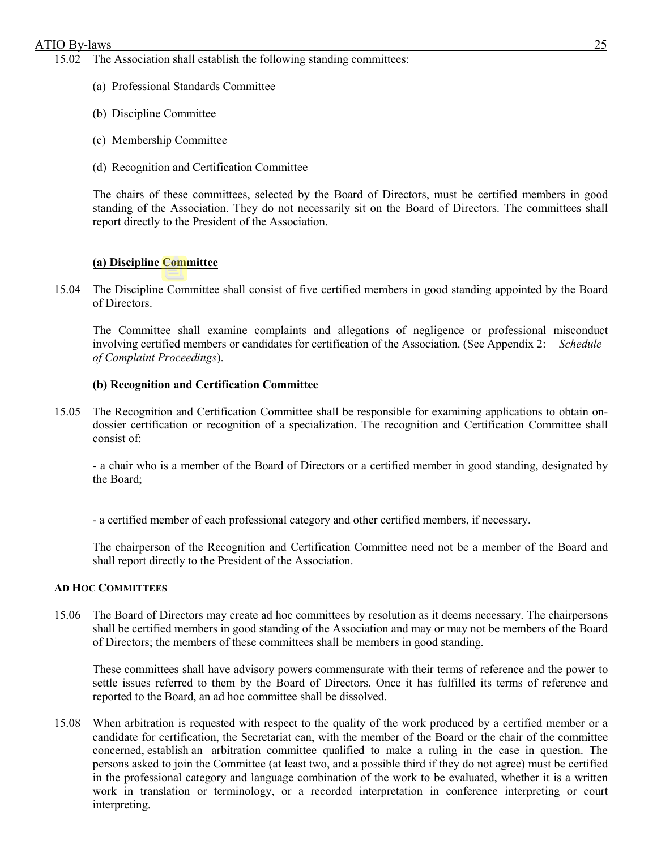- 15.02 The Association shall establish the following standing committees:
	- (a) Professional Standards Committee
	- (b) Discipline Committee
	- (c) Membership Committee
	- (d) Recognition and Certification Committee

The chairs of these committees, selected by the Board of Directors, must be certified members in good standing of the Association. They do not necessarily sit on the Board of Directors. The committees shall report directly to the President of the Association.

# **(a) Discipline Committee**

15.04 The Discipline Committee shall consist of five certified members in good standing appointed by the Board of Directors.

The Committee shall examine complaints and allegations of negligence or professional misconduct involving certified members or candidates for certification of the Association. (See Appendix 2: *Schedule of Complaint Proceedings*).

# **(b) Recognition and Certification Committee**

15.05 The Recognition and Certification Committee shall be responsible for examining applications to obtain ondossier certification or recognition of a specialization. The recognition and Certification Committee shall consist of:

- a chair who is a member of the Board of Directors or a certified member in good standing, designated by the Board;

- a certified member of each professional category and other certified members, if necessary.

The chairperson of the Recognition and Certification Committee need not be a member of the Board and shall report directly to the President of the Association.

#### **AD HOC COMMITTEES**

15.06 The Board of Directors may create ad hoc committees by resolution as it deems necessary. The chairpersons shall be certified members in good standing of the Association and may or may not be members of the Board of Directors; the members of these committees shall be members in good standing.

These committees shall have advisory powers commensurate with their terms of reference and the power to settle issues referred to them by the Board of Directors. Once it has fulfilled its terms of reference and reported to the Board, an ad hoc committee shall be dissolved.

15.08 When arbitration is requested with respect to the quality of the work produced by a certified member or a candidate for certification, the Secretariat can, with the member of the Board or the chair of the committee concerned, establish an arbitration committee qualified to make a ruling in the case in question. The persons asked to join the Committee (at least two, and a possible third if they do not agree) must be certified in the professional category and language combination of the work to be evaluated, whether it is a written work in translation or terminology, or a recorded interpretation in conference interpreting or court interpreting.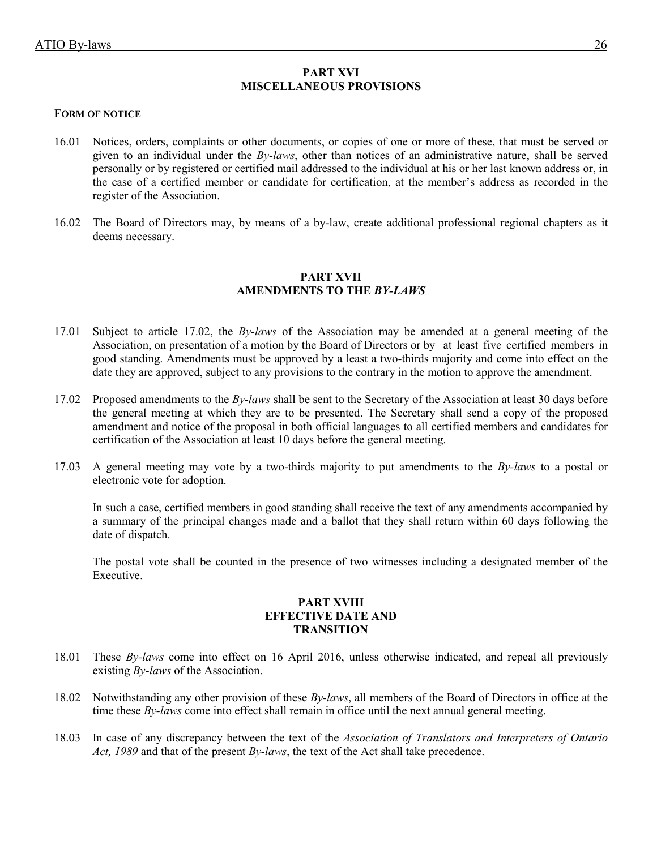### **PART XVI MISCELLANEOUS PROVISIONS**

#### **FORM OF NOTICE**

- 16.01 Notices, orders, complaints or other documents, or copies of one or more of these, that must be served or given to an individual under the *By-laws*, other than notices of an administrative nature, shall be served personally or by registered or certified mail addressed to the individual at his or her last known address or, in the case of a certified member or candidate for certification, at the member's address as recorded in the register of the Association.
- 16.02 The Board of Directors may, by means of a by-law, create additional professional regional chapters as it deems necessary.

# **PART XVII AMENDMENTS TO THE** *BY-LAWS*

- 17.01 Subject to article 17.02, the *By-laws* of the Association may be amended at a general meeting of the Association, on presentation of a motion by the Board of Directors or by at least five certified members in good standing. Amendments must be approved by a least a two-thirds majority and come into effect on the date they are approved, subject to any provisions to the contrary in the motion to approve the amendment.
- 17.02 Proposed amendments to the *By-laws* shall be sent to the Secretary of the Association at least 30 days before the general meeting at which they are to be presented. The Secretary shall send a copy of the proposed amendment and notice of the proposal in both official languages to all certified members and candidates for certification of the Association at least 10 days before the general meeting.
- 17.03 A general meeting may vote by a two-thirds majority to put amendments to the *By-laws* to a postal or electronic vote for adoption.

In such a case, certified members in good standing shall receive the text of any amendments accompanied by a summary of the principal changes made and a ballot that they shall return within 60 days following the date of dispatch.

The postal vote shall be counted in the presence of two witnesses including a designated member of the Executive.

# **PART XVIII EFFECTIVE DATE AND TRANSITION**

- 18.01 These *By-laws* come into effect on 16 April 2016, unless otherwise indicated, and repeal all previously existing *By-laws* of the Association.
- 18.02 Notwithstanding any other provision of these *By-laws*, all members of the Board of Directors in office at the time these *By-laws* come into effect shall remain in office until the next annual general meeting.
- 18.03 In case of any discrepancy between the text of the *Association of Translators and Interpreters of Ontario Act, 1989* and that of the present *By-laws*, the text of the Act shall take precedence.